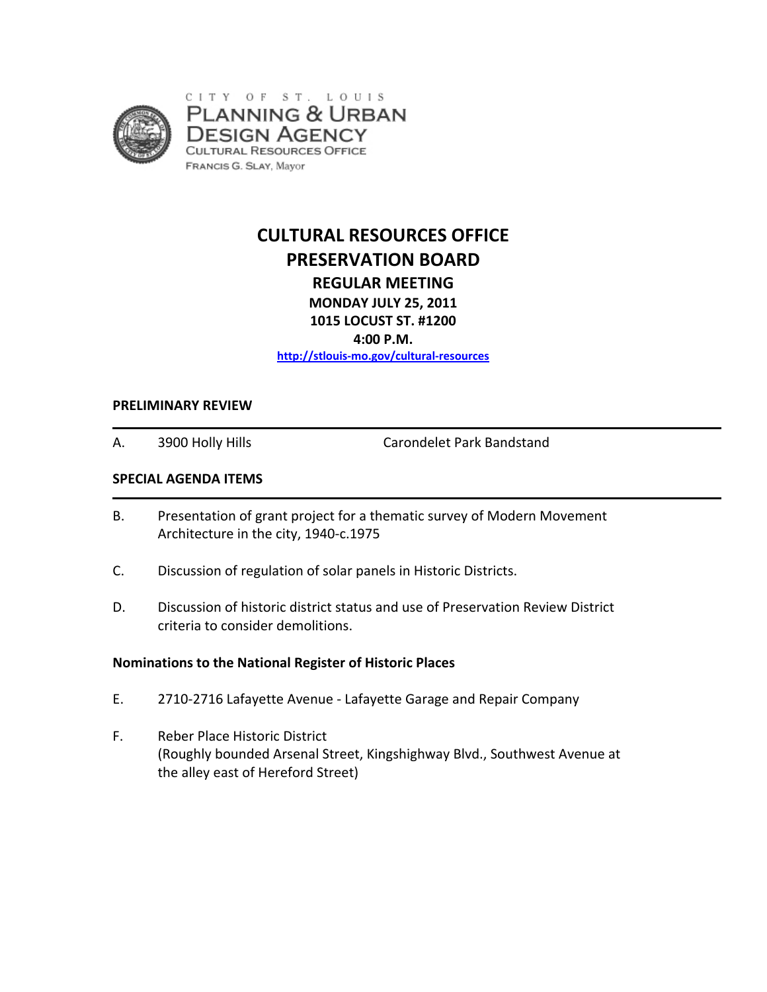

# **CULTURAL RESOURCES OFFICE PRESERVATION BOARD REGULAR MEETING MONDAY JULY 25, 2011 1015 LOCUST ST. #1200**

**4:00 P.M.**

**http://stlouis‐mo.gov/cultural‐resources**

#### **PRELIMINARY REVIEW**

A. 3900 Holly Hills Carondelet Park Bandstand

#### **SPECIAL AGENDA ITEMS**

- B. Presentation of grant project for a thematic survey of Modern Movement Architecture in the city, 1940‐c.1975
- C. Discussion of regulation of solar panels in Historic Districts.
- D. Discussion of historic district status and use of Preservation Review District criteria to consider demolitions.

#### **Nominations to the National Register of Historic Places**

- E. 2710‐2716 Lafayette Avenue ‐ Lafayette Garage and Repair Company
- F. Reber Place Historic District (Roughly bounded Arsenal Street, Kingshighway Blvd., Southwest Avenue at the alley east of Hereford Street)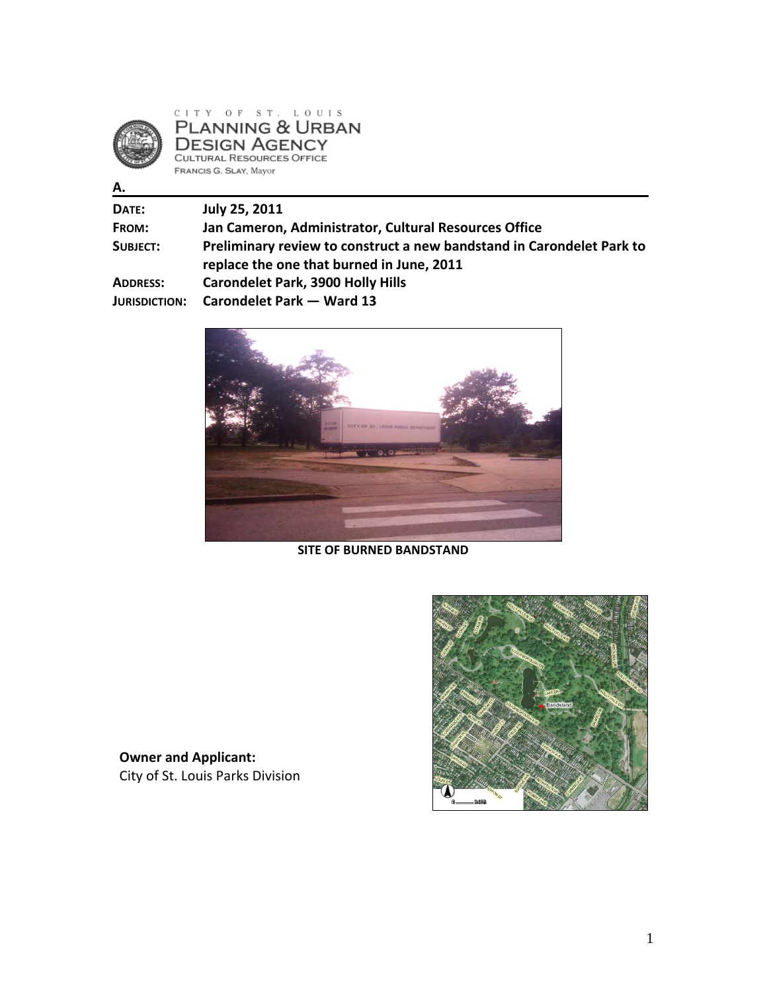

**A.**

 $\underline{\texttt{C}} \ \texttt{I} \ \texttt{T} \ \texttt{Y} \quad \texttt{O} \ \texttt{F} \quad \texttt{S} \ \texttt{T} \ . \quad \texttt{L} \ \texttt{O} \ \texttt{U} \ \texttt{I} \ \texttt{S}$ PLANNING & URBAN **DESIGN AGENCY**<br>CULTURAL RESOURCES OFFICE FRANCIS G. SLAY, Mayor

**DATE: July 25, 2011**

| <b>FROM:</b>         | Jan Cameron, Administrator, Cultural Resources Office                 |
|----------------------|-----------------------------------------------------------------------|
| SUBJECT:             | Preliminary review to construct a new bandstand in Carondelet Park to |
|                      | replace the one that burned in June, 2011                             |
| ADDRESS:             | <b>Carondelet Park, 3900 Holly Hills</b>                              |
| <b>JURISDICTION:</b> | Carondelet Park - Ward 13                                             |



**SITE OF BURNED BANDSTAND**



**Owner and Applicant:**  City of St. Louis Parks Division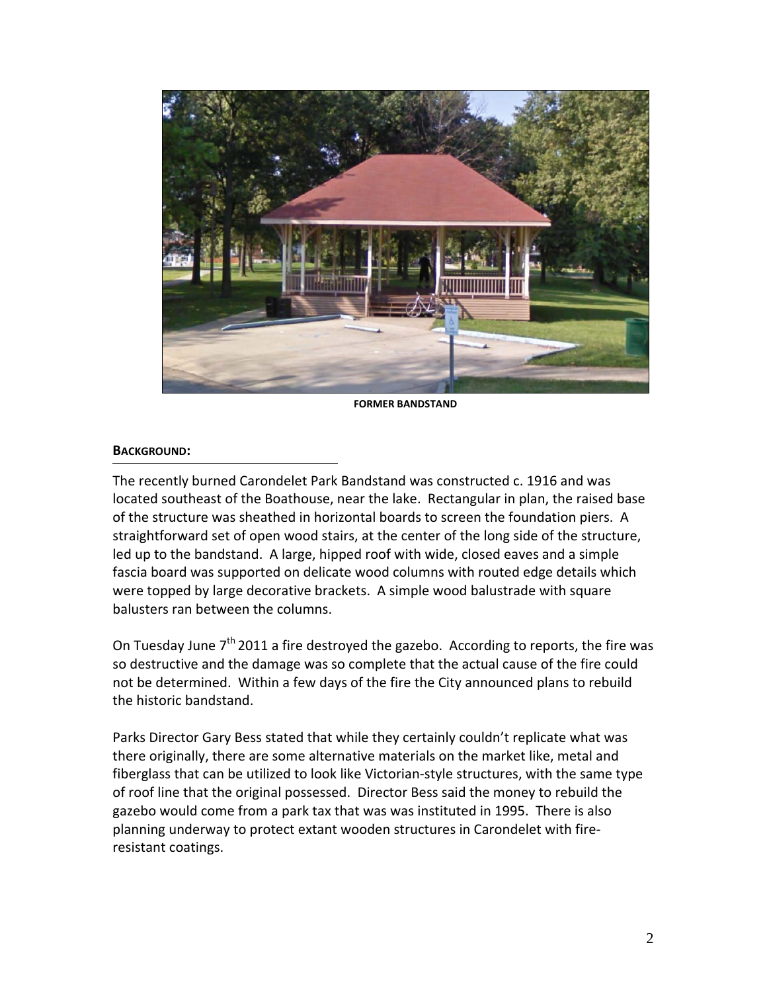

**FORMER BANDSTAND**

### **BACKGROUND:**

The recently burned Carondelet Park Bandstand was constructed c. 1916 and was located southeast of the Boathouse, near the lake. Rectangular in plan, the raised base of the structure was sheathed in horizontal boards to screen the foundation piers. A straightforward set of open wood stairs, at the center of the long side of the structure, led up to the bandstand. A large, hipped roof with wide, closed eaves and a simple fascia board was supported on delicate wood columns with routed edge details which were topped by large decorative brackets. A simple wood balustrade with square balusters ran between the columns.

On Tuesday June  $7<sup>th</sup>$  2011 a fire destroyed the gazebo. According to reports, the fire was so destructive and the damage was so complete that the actual cause of the fire could not be determined. Within a few days of the fire the City announced plans to rebuild the historic bandstand.

Parks Director Gary Bess stated that while they certainly couldn't replicate what was there originally, there are some alternative materials on the market like, metal and fiberglass that can be utilized to look like Victorian‐style structures, with the same type of roof line that the original possessed. Director Bess said the money to rebuild the gazebo would come from a park tax that was was instituted in 1995. There is also planning underway to protect extant wooden structures in Carondelet with fire‐ resistant coatings.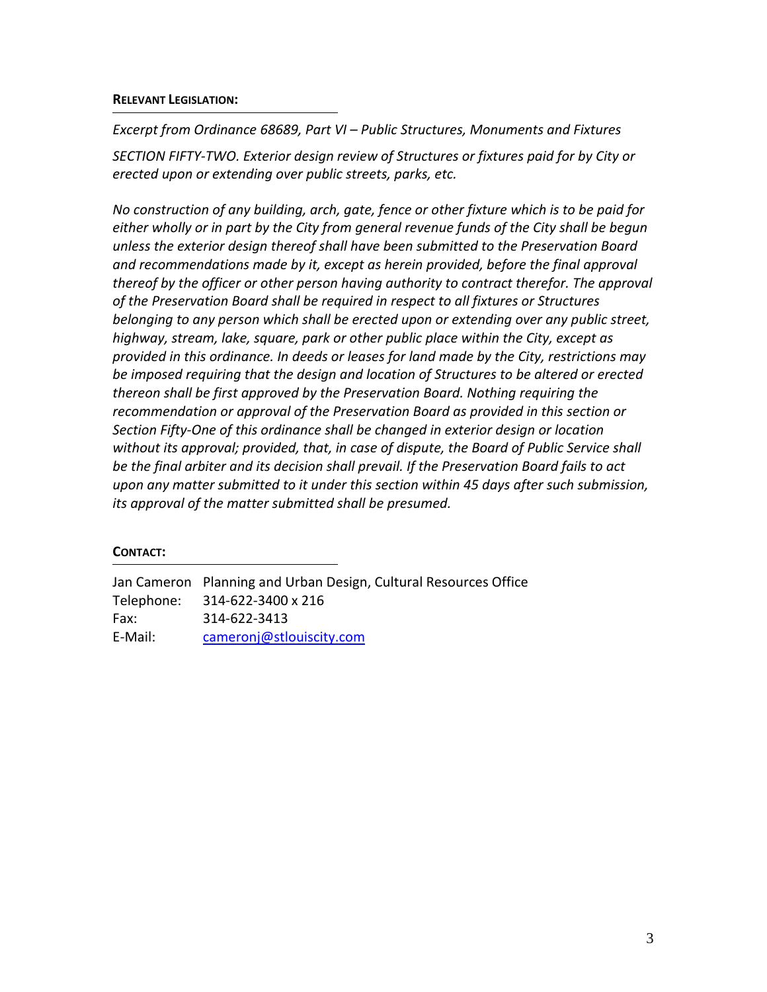### **RELEVANT LEGISLATION:**

*Excerpt from Ordinance 68689, Part VI – Public Structures, Monuments and Fixtures SECTION FIFTY‐TWO. Exterior design review of Structures or fixtures paid for by City or erected upon or extending over public streets, parks, etc.* 

*No construction of any building, arch, gate, fence or other fixture which is to be paid for either wholly or in part by the City from general revenue funds of the City shall be begun unless the exterior design thereof shall have been submitted to the Preservation Board and recommendations made by it, except as herein provided, before the final approval thereof by the officer or other person having authority to contract therefor. The approval of the Preservation Board shall be required in respect to all fixtures or Structures belonging to any person which shall be erected upon or extending over any public street, highway, stream, lake, square, park or other public place within the City, except as provided in this ordinance. In deeds or leases for land made by the City, restrictions may be imposed requiring that the design and location of Structures to be altered or erected thereon shall be first approved by the Preservation Board. Nothing requiring the recommendation or approval of the Preservation Board as provided in this section or Section Fifty‐One of this ordinance shall be changed in exterior design or location without its approval; provided, that, in case of dispute, the Board of Public Service shall be the final arbiter and its decision shall prevail. If the Preservation Board fails to act upon any matter submitted to it under this section within 45 days after such submission, its approval of the matter submitted shall be presumed.*

### **CONTACT:**

Jan Cameron Planning and Urban Design, Cultural Resources Office Telephone: 314‐622‐3400 x 216 Fax: 314‐622‐3413 E‐Mail: cameronj@stlouiscity.com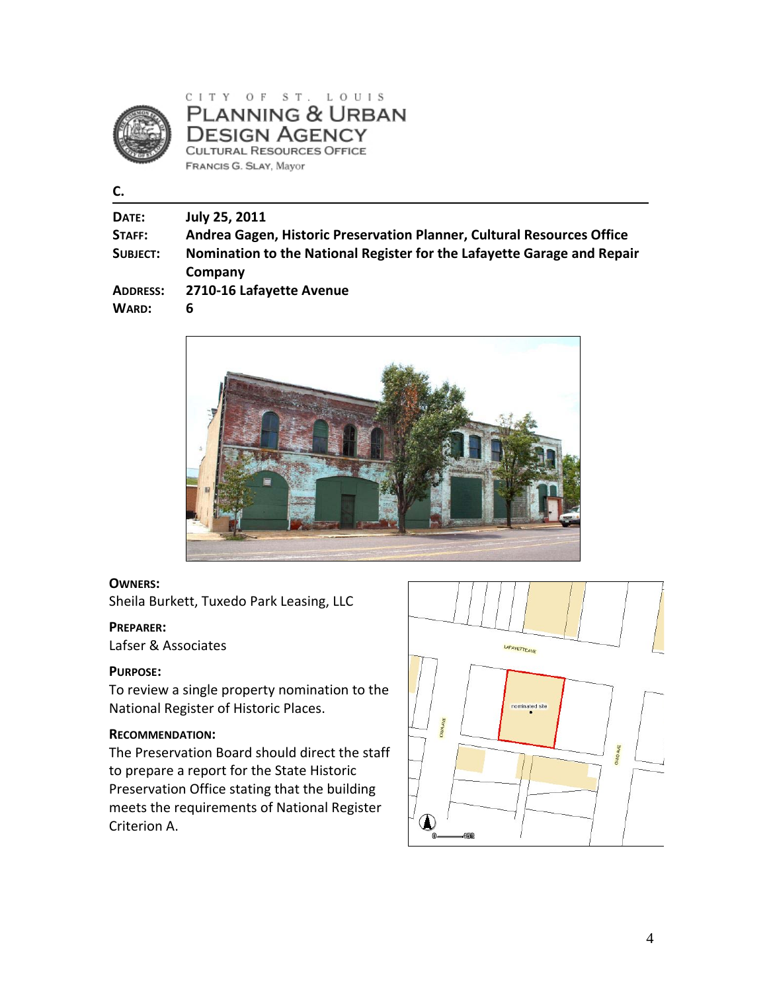

CITY OF ST. LOUIS **PLANNING & URBAN DESIGN AGENCY CULTURAL RESOURCES OFFICE** FRANCIS G. SLAY, Mayor

**C.**

| DATE:           | July 25, 2011                                                                      |
|-----------------|------------------------------------------------------------------------------------|
| STAFF:          | Andrea Gagen, Historic Preservation Planner, Cultural Resources Office             |
| SUBJECT:        | Nomination to the National Register for the Lafayette Garage and Repair<br>Company |
| <b>ADDRESS:</b> | 2710-16 Lafayette Avenue                                                           |
| WARD:           | b                                                                                  |



#### **OWNERS:**

Sheila Burkett, Tuxedo Park Leasing, LLC

#### **PREPARER:**

Lafser & Associates

### **PURPOSE:**

To review a single property nomination to the National Register of Historic Places.

#### **RECOMMENDATION:**

The Preservation Board should direct the staff to prepare a report for the State Historic Preservation Office stating that the building meets the requirements of National Register Criterion A.

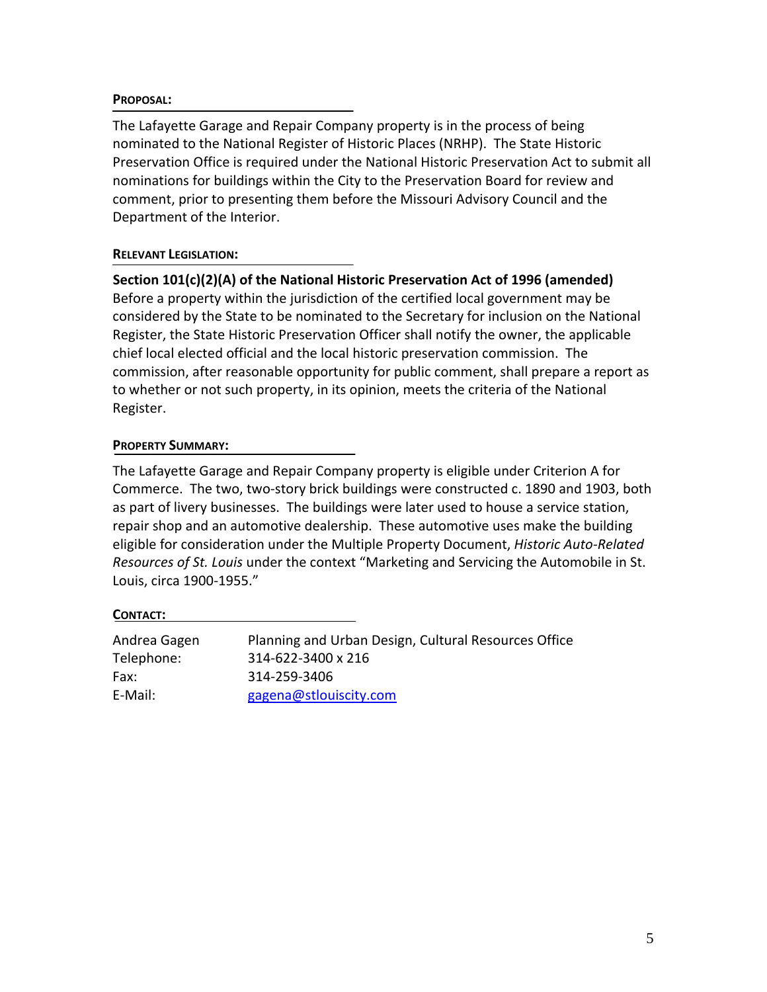### **PROPOSAL:**

The Lafayette Garage and Repair Company property is in the process of being nominated to the National Register of Historic Places (NRHP). The State Historic Preservation Office is required under the National Historic Preservation Act to submit all nominations for buildings within the City to the Preservation Board for review and comment, prior to presenting them before the Missouri Advisory Council and the Department of the Interior.

### **RELEVANT LEGISLATION:**

**Section 101(c)(2)(A) of the National Historic Preservation Act of 1996 (amended)**  Before a property within the jurisdiction of the certified local government may be considered by the State to be nominated to the Secretary for inclusion on the National Register, the State Historic Preservation Officer shall notify the owner, the applicable chief local elected official and the local historic preservation commission. The commission, after reasonable opportunity for public comment, shall prepare a report as to whether or not such property, in its opinion, meets the criteria of the National Register.

## **PROPERTY SUMMARY:**

The Lafayette Garage and Repair Company property is eligible under Criterion A for Commerce. The two, two‐story brick buildings were constructed c. 1890 and 1903, both as part of livery businesses. The buildings were later used to house a service station, repair shop and an automotive dealership. These automotive uses make the building eligible for consideration under the Multiple Property Document, *Historic Auto‐Related Resources of St. Louis* under the context "Marketing and Servicing the Automobile in St. Louis, circa 1900‐1955."

### **CONTACT:**

| Andrea Gagen | Planning and Urban Design, Cultural Resources Office |
|--------------|------------------------------------------------------|
| Telephone:   | 314-622-3400 x 216                                   |
| Fax:         | 314-259-3406                                         |
| E-Mail:      | gagena@stlouiscity.com                               |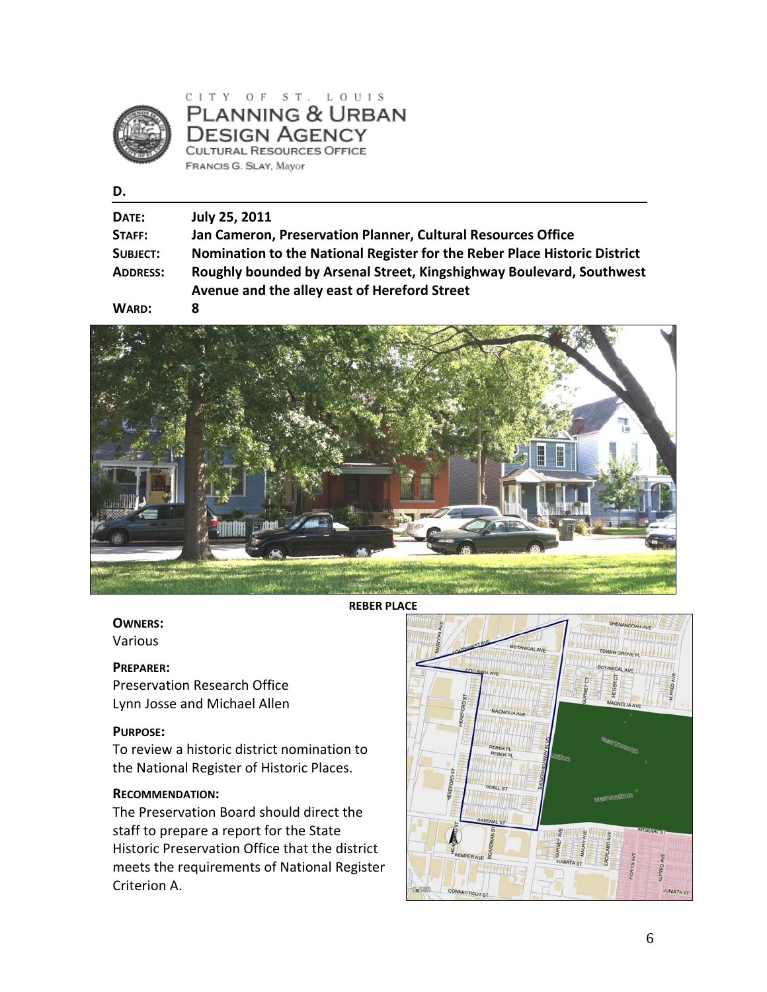

CITY OF ST. LOUIS **PLANNING & URBAN DESIGN AGENCY CULTURAL RESOURCES OFFICE** FRANCIS G. SLAY, Mayor

#### **D.**

| DATE:                                                       | July 25, 2011                                                                                                        |
|-------------------------------------------------------------|----------------------------------------------------------------------------------------------------------------------|
| STAFF:                                                      | Jan Cameron, Preservation Planner, Cultural Resources Office                                                         |
| SUBJECT:                                                    | Nomination to the National Register for the Reber Place Historic District                                            |
| <b>ADDRESS:</b>                                             | Roughly bounded by Arsenal Street, Kingshighway Boulevard, Southwest<br>Avenue and the alley east of Hereford Street |
| $\bullet$ $\bullet$ $\bullet$ $\bullet$ $\bullet$ $\bullet$ |                                                                                                                      |





**REBER PLACE**

### **OWNERS:**

Various

#### **PREPARER:**

Preservation Research Office Lynn Josse and Michael Allen

#### **PURPOSE:**

To review a historic district nomination to the National Register of Historic Places.

### **RECOMMENDATION:**

The Preservation Board should direct the staff to prepare a report for the State Historic Preservation Office that the district meets the requirements of National Register Criterion A.